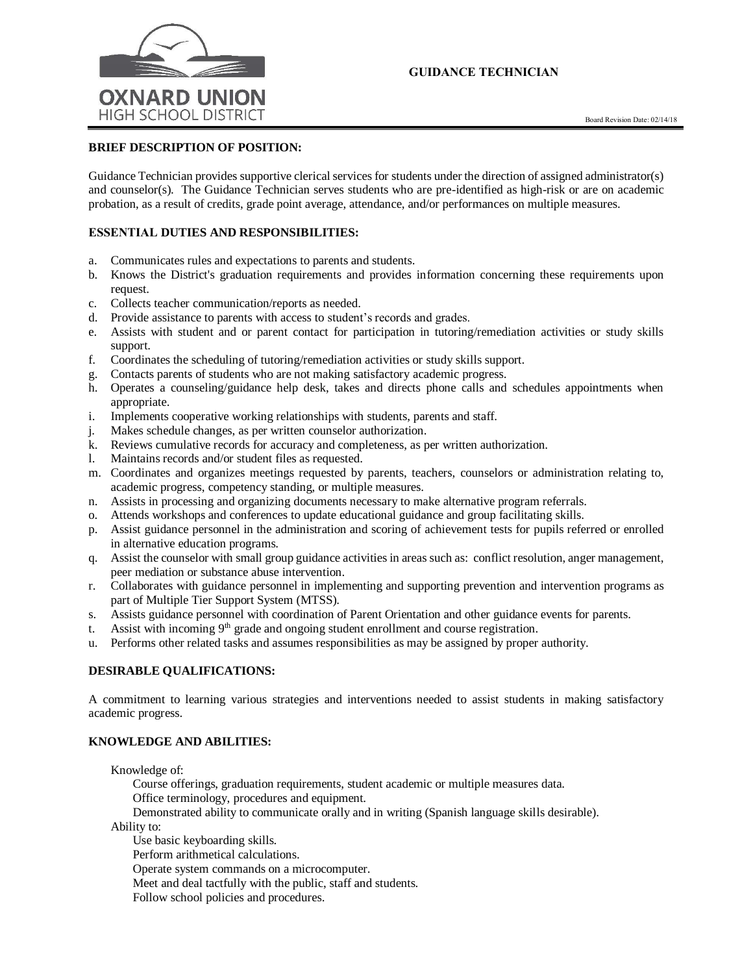

# GUIDANCE TECHNICIAN

# **BRIEF DESCRIPTION OF POSITION:**

Guidance Technician provides supportive clerical services for students under the direction of assigned administrator(s) and counselor(s). The Guidance Technician serves students who are pre-identified as high-risk or are on academic probation, as a result of credits, grade point average, attendance, and/or performances on multiple measures.

# **ESSENTIAL DUTIES AND RESPONSIBILITIES:**

- a. Communicates rules and expectations to parents and students.
- b. Knows the District's graduation requirements and provides information concerning these requirements upon request.
- c. Collects teacher communication/reports as needed.
- d. Provide assistance to parents with access to student's records and grades.
- e. Assists with student and or parent contact for participation in tutoring/remediation activities or study skills support.
- f. Coordinates the scheduling of tutoring/remediation activities or study skills support.
- g. Contacts parents of students who are not making satisfactory academic progress.
- h. Operates a counseling/guidance help desk, takes and directs phone calls and schedules appointments when appropriate.
- i. Implements cooperative working relationships with students, parents and staff.
- j. Makes schedule changes, as per written counselor authorization.
- k. Reviews cumulative records for accuracy and completeness, as per written authorization.
- l. Maintains records and/or student files as requested.
- m. Coordinates and organizes meetings requested by parents, teachers, counselors or administration relating to, academic progress, competency standing, or multiple measures.
- n. Assists in processing and organizing documents necessary to make alternative program referrals.
- o. Attends workshops and conferences to update educational guidance and group facilitating skills.
- p. Assist guidance personnel in the administration and scoring of achievement tests for pupils referred or enrolled in alternative education programs.
- q. Assist the counselor with small group guidance activities in areas such as: conflict resolution, anger management, peer mediation or substance abuse intervention.
- r. Collaborates with guidance personnel in implementing and supporting prevention and intervention programs as part of Multiple Tier Support System (MTSS).
- s. Assists guidance personnel with coordination of Parent Orientation and other guidance events for parents.
- t. Assist with incoming 9<sup>th</sup> grade and ongoing student enrollment and course registration.
- u. Performs other related tasks and assumes responsibilities as may be assigned by proper authority.

### **DESIRABLE QUALIFICATIONS:**

A commitment to learning various strategies and interventions needed to assist students in making satisfactory academic progress.

### **KNOWLEDGE AND ABILITIES:**

Knowledge of:

Course offerings, graduation requirements, student academic or multiple measures data. Office terminology, procedures and equipment.

Demonstrated ability to communicate orally and in writing (Spanish language skills desirable).

Ability to:

Use basic keyboarding skills.

Perform arithmetical calculations.

Operate system commands on a microcomputer.

Meet and deal tactfully with the public, staff and students.

Follow school policies and procedures.